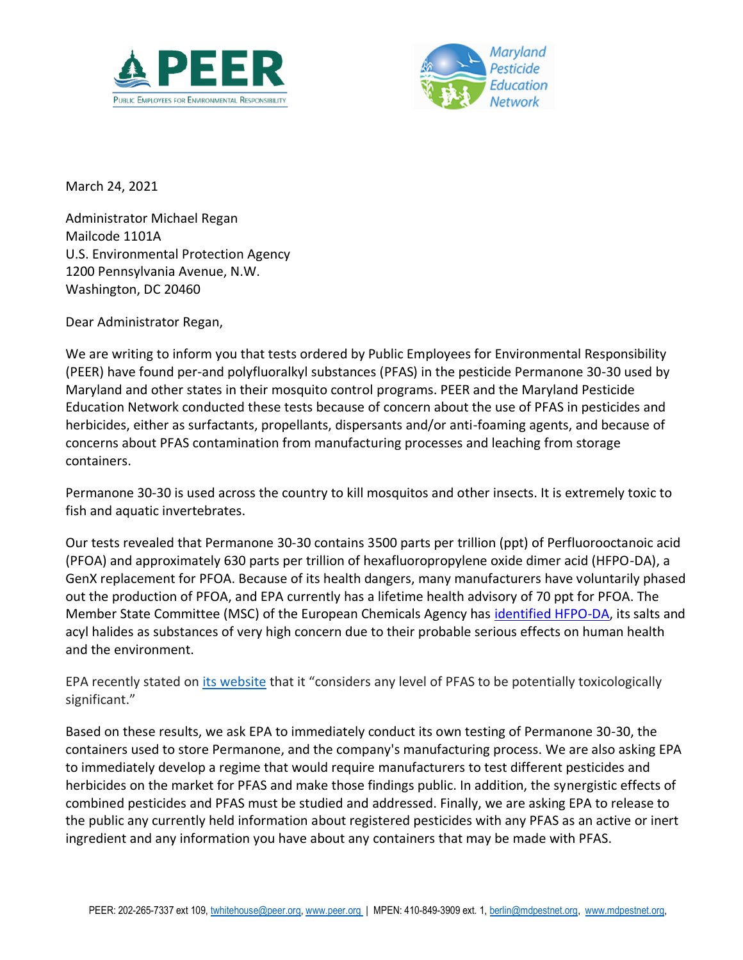



March 24, 2021

Administrator Michael Regan Mailcode 1101A U.S. Environmental Protection Agency 1200 Pennsylvania Avenue, N.W. Washington, DC 20460

Dear Administrator Regan,

We are writing to inform you that tests ordered by Public Employees for Environmental Responsibility (PEER) have found per-and polyfluoralkyl substances (PFAS) in the pesticide Permanone 30-30 used by Maryland and other states in their mosquito control programs. PEER and the Maryland Pesticide Education Network conducted these tests because of concern about the use of PFAS in pesticides and herbicides, either as surfactants, propellants, dispersants and/or anti-foaming agents, and because of concerns about PFAS contamination from manufacturing processes and leaching from storage containers.

Permanone 30-30 is used across the country to kill mosquitos and other insects. It is extremely toxic to fish and aquatic invertebrates.

Our tests revealed that Permanone 30-30 contains 3500 parts per trillion (ppt) of Perfluorooctanoic acid (PFOA) and approximately 630 parts per trillion of hexafluoropropylene oxide dimer acid (HFPO-DA), a GenX replacement for PFOA. Because of its health dangers, many manufacturers have voluntarily phased out the production of PFOA, and EPA currently has a lifetime health advisory of 70 ppt for PFOA. The Member State Committee (MSC) of the European Chemicals Agency has [identified HFPO-DA,](https://echa.europa.eu/-/msc-unanimously-agrees-that-hfpo-da-is-a-substance-of-very-high-concern) its salts and acyl halides as substances of very high concern due to their probable serious effects on human health and the environment.

EPA recently stated on [its website](https://www.epa.gov/pesticides/pfas-packaging) that it "considers any level of PFAS to be potentially toxicologically significant."

Based on these results, we ask EPA to immediately conduct its own testing of Permanone 30-30, the containers used to store Permanone, and the company's manufacturing process. We are also asking EPA to immediately develop a regime that would require manufacturers to test different pesticides and herbicides on the market for PFAS and make those findings public. In addition, the synergistic effects of combined pesticides and PFAS must be studied and addressed. Finally, we are asking EPA to release to the public any currently held information about registered pesticides with any PFAS as an active or inert ingredient and any information you have about any containers that may be made with PFAS.